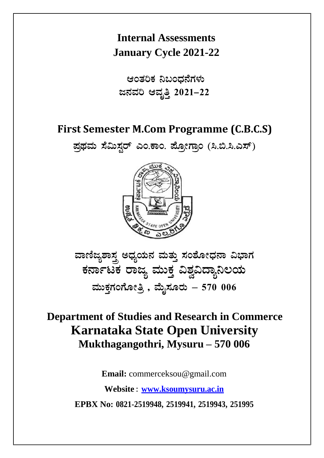# **Internal Assessments January Cycle 2021-22**

ಆಂತರಿಕ ನಿಬಂಧನೆಗಳು **d£ÀªÀj DªÀÈwÛ 2021-22** 

# **First Semester M.Com Programme (C.B.C.S)**

**¥ÀæxÀªÀÄ ¸É«Ä¸ÀÖgï JA.PÁA. ¥ÉÆæÃUÁæA (¹.©.¹.J¸ï)**



ವಾಣಿಜ್ಯಶಾಸ್ತ್ರ ಅಧ್ಯಯನ ಮತ್ತು ಸಂಶೋಧನಾ ವಿಭಾಗ ಕರ್ನಾಟಕ ರಾಜ್ಯ ಮುಕ್ತ ವಿಶ್ವವಿದ್ಯಾನಿಲಯ  $\frac{1}{2}$ ಮೆಹೆಗಂಗೋತ್ರಿ , ಮೈಸೂರು – 570 006

# **Department of Studies and Research in Commerce Karnataka State Open University Mukthagangothri, Mysuru – 570 006**

**Email:** commerceksou@gmail.com

**Website : www.ksoumysuru.ac.in**

**EPBX No: 0821-2519948, 2519941, 2519943, 251995**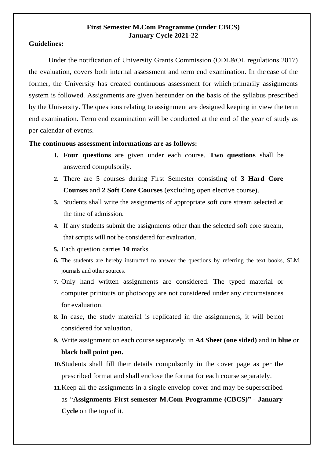#### **First Semester M.Com Programme (under CBCS) January Cycle 2021-22**

#### **Guidelines:**

Under the notification of University Grants Commission (ODL&OL regulations 2017) the evaluation, covers both internal assessment and term end examination. In the case of the former, the University has created continuous assessment for which primarily assignments system is followed. Assignments are given hereunder on the basis of the syllabus prescribed by the University. The questions relating to assignment are designed keeping in view the term end examination. Term end examination will be conducted at the end of the year of study as per calendar of events.

#### **The continuous assessment informations are as follows:**

- **1. Four questions** are given under each course. **Two questions** shall be answered compulsorily.
- **2.** There are 5 courses during First Semester consisting of **3 Hard Core Courses** and **2 Soft Core Courses** (excluding open elective course).
- **3.** Students shall write the assignments of appropriate soft core stream selected at the time of admission.
- **4.** If any students submit the assignments other than the selected soft core stream, that scripts will not be considered for evaluation.
- **5.** Each question carries **10** marks.
- **6.** The students are hereby instructed to answer the questions by referring the text books, SLM, journals and other sources.
- **7.** Only hand written assignments are considered. The typed material or computer printouts or photocopy are not considered under any circumstances for evaluation.
- **8.** In case, the study material is replicated in the assignments, it will be not considered for valuation.
- **9.** Write assignment on each course separately, in **A4 Sheet (one sided)** and in **blue** or **black ball point pen.**
- **10.**Students shall fill their details compulsorily in the cover page as per the prescribed format and shall enclose the format for each course separately.
- **11.**Keep all the assignments in a single envelop cover and may be superscribed as "**Assignments First semester M.Com Programme (CBCS)"** - **January Cycle** on the top of it.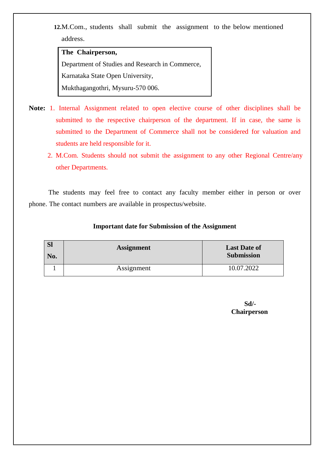**12.**M.Com., students shall submit the assignment to the below mentioned address.

#### **The Chairperson,**

Department of Studies and Research in Commerce, Karnataka State Open University, Mukthagangothri, Mysuru-570 006.

**Note:** 1. Internal Assignment related to open elective course of other disciplines shall be submitted to the respective chairperson of the department. If in case, the same is submitted to the Department of Commerce shall not be considered for valuation and students are held responsible for it.

 2. M.Com. Students should not submit the assignment to any other Regional Centre/any other Departments.

The students may feel free to contact any faculty member either in person or over phone. The contact numbers are available in prospectus/website.

### **Important date for Submission of the Assignment**

| <b>SI</b><br>No. | <b>Assignment</b> | <b>Last Date of</b><br><b>Submission</b> |
|------------------|-------------------|------------------------------------------|
|                  | Assignment        | 10.07.2022                               |

**Sd/- Chairperson**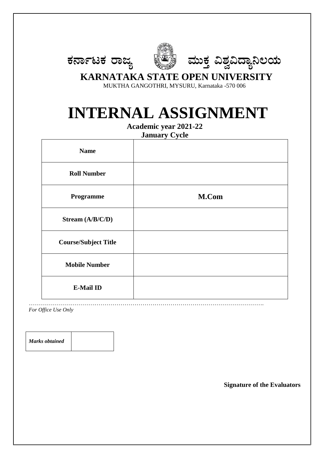



# **KARNATAKA STATE OPEN UNIVERSITY**

MUKTHA GANGOTHRI, MYSURU, Karnataka -570 006

# **INTERNAL ASSIGNMENT**

**Academic year 2021-22**

**January Cycle**

| <b>Name</b>                 |       |
|-----------------------------|-------|
| <b>Roll Number</b>          |       |
| Programme                   | M.Com |
| Stream (A/B/C/D)            |       |
| <b>Course/Subject Title</b> |       |
| <b>Mobile Number</b>        |       |
| <b>E-Mail ID</b>            |       |

……………………………………………………………………………………………………….

*For Office Use Only*

*Marks obtained*

**Signature of the Evaluators**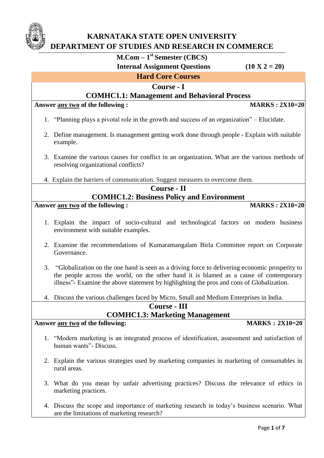

# **KARNATAKA STATE OPEN UNIVERSITY DEPARTMENT OF STUDIES AND RESEARCH IN COMMERCE**

# **M.Com – 1 st Semester (CBCS)**

 **Internal Assignment Questions (10 X 2 = 20)** 

# **Hard Core Courses**

### **Course - I**

### **COMHC1.1: Management and Behavioral Process**

**Answer any two of the following : MARKS : 2X10=20**

- 1. "Planning plays a pivotal role in the growth and success of an organization" Elucidate.
- 2. Define management. Is management getting work done through people Explain with suitable example.
- 3. Examine the various causes for conflict in an organization. What are the various methods of resolving organizational conflicts?

4. Explain the barriers of communication. Suggest measures to overcome them.

# **Course - II**

## **COMHC1.2: Business Policy and Environment**

**Answer any two of the following : MARKS : 2X10=20**

- 
- 1. Explain the impact of socio-cultural and technological factors on modern business environment with suitable examples.
- 2. Examine the recommendations of Kumaramangalam Birla Committee report on Corporate Governance.
- 3. "Globalization on the one hand is seen as a driving force to delivering economic prosperity to the people across the world, on the other hand it is blamed as a cause of contemporary illness"- Examine the above statement by highlighting the pros and cons of Globalization.
- 4. Discuss the various challenges faced by Micro, Small and Medium Enterprises in India.

**Course - III**

# **COMHC1.3: Marketing Management**

### Answer <u>any two</u> of the following: MARKS : 2X10=20

- 1. "Modern marketing is an integrated process of identification, assessment and satisfaction of human wants"- Discuss.
- 2. Explain the various strategies used by marketing companies in marketing of consumables in rural areas.
- 3. What do you mean by unfair advertising practices? Discuss the relevance of ethics in marketing practices.
- 4. Discuss the scope and importance of marketing research in today's business scenario. What are the limitations of marketing research?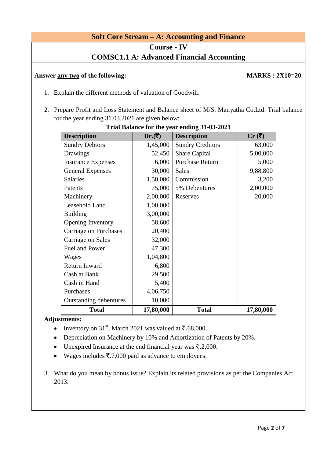### **Soft Core Stream – A: Accounting and Finance**

**Course - IV**

### **COMSC1.1 A: Advanced Financial Accounting**

#### Answer any two of the following: MARKS :  $2X10=20$

- 1. Explain the different methods of valuation of Goodwill.
- 2. Prepare Profit and Loss Statement and Balance sheet of M/S. Manyatha Co.Ltd. Trial balance for the year ending 31.03.2021 are given below:

| <b>Description</b>            | $Dr.(\bar{\zeta})$ | <b>Description</b>      | Cr(3)     |
|-------------------------------|--------------------|-------------------------|-----------|
| <b>Sundry Debtors</b>         | 1,45,000           | <b>Sundry Creditors</b> | 63,000    |
| Drawings                      | 52,450             | <b>Share Capital</b>    | 5,00,000  |
| <b>Insurance Expenses</b>     | 6,000              | <b>Purchase Return</b>  | 5,000     |
| <b>General Expenses</b>       | 30,000             | <b>Sales</b>            | 9,88,800  |
| <b>Salaries</b>               | 1,50,000           | Commission              | 3,200     |
| Patents                       | 75,000             | 5% Debentures           | 2,00,000  |
| Machinery                     | 2,00,000           | Reserves                | 20,000    |
| Leasehold Land                | 1,00,000           |                         |           |
| <b>Building</b>               | 3,00,000           |                         |           |
| Opening Inventory             | 58,600             |                         |           |
| Carriage on Purchases         | 20,400             |                         |           |
| <b>Carriage on Sales</b>      | 32,000             |                         |           |
| Fuel and Power                | 47,300             |                         |           |
| Wages                         | 1,04,800           |                         |           |
| Return Inward                 | 6,800              |                         |           |
| Cash at Bank                  | 29,500             |                         |           |
| Cash in Hand                  | 5,400              |                         |           |
| Purchases                     | 4,06,750           |                         |           |
| <b>Outstanding debentures</b> | 10,000             |                         |           |
| <b>Total</b>                  | 17,80,000          | <b>Total</b>            | 17,80,000 |

#### **Trial Balance for the year ending 31-03-2021**

#### **Adjustments:**

- Inventory on 31<sup>st</sup>, March 2021 was valued at  $\bar{\mathfrak{c}}$ .68,000.
- Depreciation on Machinery by 10% and Amortization of Patents by 20%.
- Unexpired Insurance at the end financial year was  $\bar{\mathcal{F}}$ .2,000.
- Wages includes  $\bar{\mathfrak{F}}$ .7,000 paid as advance to employees.
- 3. What do you mean by bonus issue? Explain its related provisions as per the Companies Act, 2013.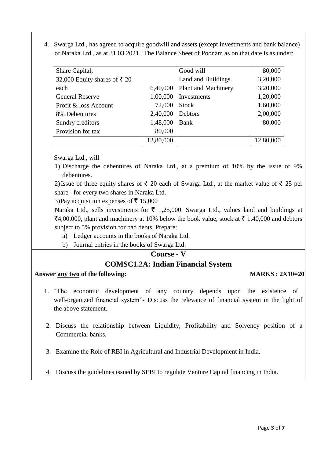4. Swarga Ltd., has agreed to acquire goodwill and assets (except investments and bank balance) of Naraka Ltd., as at 31.03.2021. The Balance Sheet of Poonam as on that date is as under:

| Share Capital;               |           | Good will                  | 80,000    |
|------------------------------|-----------|----------------------------|-----------|
| 32,000 Equity shares of ₹ 20 |           | Land and Buildings         | 3,20,000  |
| each                         | 6,40,000  | <b>Plant and Machinery</b> | 3,20,000  |
| <b>General Reserve</b>       | 1,00,000  | Investments                | 1,20,000  |
| Profit & loss Account        | 72,000    | <b>Stock</b>               | 1,60,000  |
| 8% Debentures                | 2,40,000  | Debtors                    | 2,00,000  |
| Sundry creditors             | 1,48,000  | Bank                       | 80,000    |
| Provision for tax            | 80,000    |                            |           |
|                              | 12,80,000 |                            | 12,80,000 |

Swarga Ltd., will

1) Discharge the debentures of Naraka Ltd., at a premium of 10% by the issue of 9% debentures.

2) Issue of three equity shares of  $\bar{\tau}$  20 each of Swarga Ltd., at the market value of  $\bar{\tau}$  25 per share for every two shares in Naraka Ltd.

3)Pay acquisition expenses of  $\bar{\tau}$  15,000

Naraka Ltd., sells investments for  $\bar{\tau}$  1,25,000. Swarga Ltd., values land and buildings at  $\mathsf{F4,00,000}$ , plant and machinery at 10% below the book value, stock at  $\mathsf{F}$  1,40,000 and debtors subject to 5% provision for bad debts, Prepare:

- a) Ledger accounts in the books of Naraka Ltd.
- b) Journal entries in the books of Swarga Ltd.

## **Course - V**

## **COMSC1.2A: Indian Financial System**

#### Answer any two of the following: MARKS :  $2X10=20$

- 1. "The economic development of any country depends upon the existence of well-organized financial system"- Discuss the relevance of financial system in the light of the above statement.
- 2. Discuss the relationship between Liquidity, Profitability and Solvency position of a Commercial banks.
- 3. Examine the Role of RBI in Agricultural and Industrial Development in India.
- 4. Discuss the guidelines issued by SEBI to regulate Venture Capital financing in India.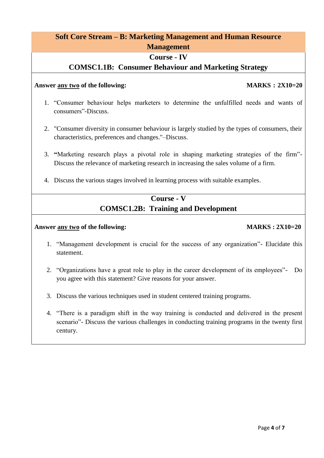# **Soft Core Stream – B: Marketing Management and Human Resource Management**

### **Course - IV**

### **COMSC1.1B: Consumer Behaviour and Marketing Strategy**

#### **Answer any two of the following: MARKS : 2X10=20**

- 1. "Consumer behaviour helps marketers to determine the unfulfilled needs and wants of consumers"-Discuss.
- 2. "Consumer diversity in consumer behaviour is largely studied by the types of consumers, their characteristics, preferences and changes."–Discuss.
- 3. **"**Marketing research plays a pivotal role in shaping marketing strategies of the firm"- Discuss the relevance of marketing research in increasing the sales volume of a firm.
- 4. Discuss the various stages involved in learning process with suitable examples.

# **Course - V COMSC1.2B: Training and Development**

#### **Answer any two of the following: MARKS : 2X10=20**

- 1. "Management development is crucial for the success of any organization"- Elucidate this statement.
- 2. "Organizations have a great role to play in the career development of its employees"- Do you agree with this statement? Give reasons for your answer.
- 3. Discuss the various techniques used in student centered training programs.
- 4. "There is a paradigm shift in the way training is conducted and delivered in the present scenario"- Discuss the various challenges in conducting training programs in the twenty first century.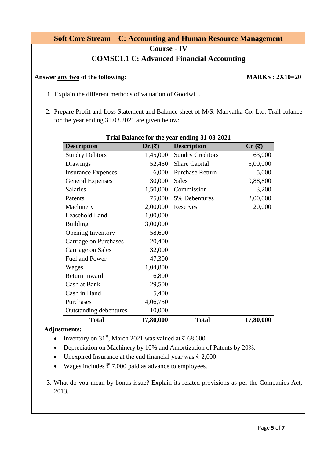# **Soft Core Stream – C: Accounting and Human Resource Management**

**Course - IV**

# **COMSC1.1 C: Advanced Financial Accounting**

#### Answer <u>any two</u> of the following: MARKS : 2X10=20

- 1. Explain the different methods of valuation of Goodwill.
- 2. Prepare Profit and Loss Statement and Balance sheet of M/S. Manyatha Co. Ltd. Trail balance for the year ending 31.03.2021 are given below:

| <b>Description</b>            | $Dr.(\bar{\zeta})$ | <b>Description</b>      | $Cr(\bar{z})$ |
|-------------------------------|--------------------|-------------------------|---------------|
| <b>Sundry Debtors</b>         | 1,45,000           | <b>Sundry Creditors</b> | 63,000        |
| Drawings                      | 52,450             | <b>Share Capital</b>    | 5,00,000      |
| <b>Insurance Expenses</b>     | 6,000              | <b>Purchase Return</b>  | 5,000         |
| <b>General Expenses</b>       | 30,000             | <b>Sales</b>            | 9,88,800      |
| <b>Salaries</b>               | 1,50,000           | Commission              | 3,200         |
| Patents                       | 75,000             | 5% Debentures           | 2,00,000      |
| Machinery                     | 2,00,000           | Reserves                | 20,000        |
| Leasehold Land                | 1,00,000           |                         |               |
| <b>Building</b>               | 3,00,000           |                         |               |
| Opening Inventory             | 58,600             |                         |               |
| Carriage on Purchases         | 20,400             |                         |               |
| Carriage on Sales             | 32,000             |                         |               |
| Fuel and Power                | 47,300             |                         |               |
| Wages                         | 1,04,800           |                         |               |
| Return Inward                 | 6,800              |                         |               |
| Cash at Bank                  | 29,500             |                         |               |
| Cash in Hand                  | 5,400              |                         |               |
| Purchases                     | 4,06,750           |                         |               |
| <b>Outstanding debentures</b> | 10,000             |                         |               |
| <b>Total</b>                  | 17,80,000          | <b>Total</b>            | 17,80,000     |

#### **Trial Balance for the year ending 31-03-2021**

#### **Adjustments:**

- Inventory on 31<sup>st</sup>, March 2021 was valued at  $\bar{\tau}$  68,000.
- Depreciation on Machinery by 10% and Amortization of Patents by 20%.
- Unexpired Insurance at the end financial year was  $\bar{\tau}$  2,000.
- Wages includes  $\bar{z}$  7,000 paid as advance to employees.
- 3. What do you mean by bonus issue? Explain its related provisions as per the Companies Act, 2013.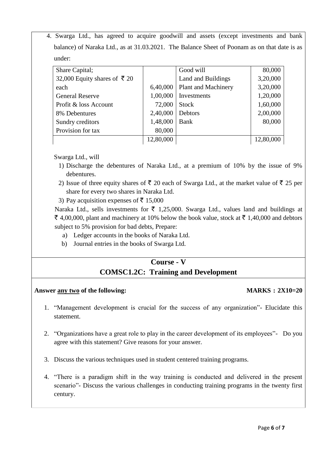4. Swarga Ltd., has agreed to acquire goodwill and assets (except investments and bank balance) of Naraka Ltd., as at 31.03.2021. The Balance Sheet of Poonam as on that date is as under:

| Share Capital;               |           | Good will                  | 80,000    |
|------------------------------|-----------|----------------------------|-----------|
| 32,000 Equity shares of ₹ 20 |           | Land and Buildings         | 3,20,000  |
| each                         | 6,40,000  | <b>Plant and Machinery</b> | 3,20,000  |
| <b>General Reserve</b>       | 1,00,000  | Investments                | 1,20,000  |
| Profit & loss Account        | 72,000    | <b>Stock</b>               | 1,60,000  |
| 8% Debentures                | 2,40,000  | Debtors                    | 2,00,000  |
| Sundry creditors             | 1,48,000  | Bank                       | 80,000    |
| Provision for tax            | 80,000    |                            |           |
|                              | 12,80,000 |                            | 12,80,000 |

Swarga Ltd., will

- 1) Discharge the debentures of Naraka Ltd., at a premium of 10% by the issue of 9% debentures.
- 2) Issue of three equity shares of  $\bar{\tau}$  20 each of Swarga Ltd., at the market value of  $\bar{\tau}$  25 per share for every two shares in Naraka Ltd.
- 3) Pay acquisition expenses of  $\bar{\tau}$  15,000

Naraka Ltd., sells investments for  $\bar{\tau}$  1,25,000. Swarga Ltd., values land and buildings at  $\bar{\xi}$  4,00,000, plant and machinery at 10% below the book value, stock at  $\bar{\xi}$  1,40,000 and debtors subject to 5% provision for bad debts, Prepare:

- a) Ledger accounts in the books of Naraka Ltd.
- b) Journal entries in the books of Swarga Ltd.

# **Course - V COMSC1.2C: Training and Development**

#### Answer any two of the following: MARKS :  $2X10=20$

- 1. "Management development is crucial for the success of any organization"- Elucidate this statement.
- 2. "Organizations have a great role to play in the career development of its employees"- Do you agree with this statement? Give reasons for your answer.
- 3. Discuss the various techniques used in student centered training programs.
- 4. "There is a paradigm shift in the way training is conducted and delivered in the present scenario"- Discuss the various challenges in conducting training programs in the twenty first century.